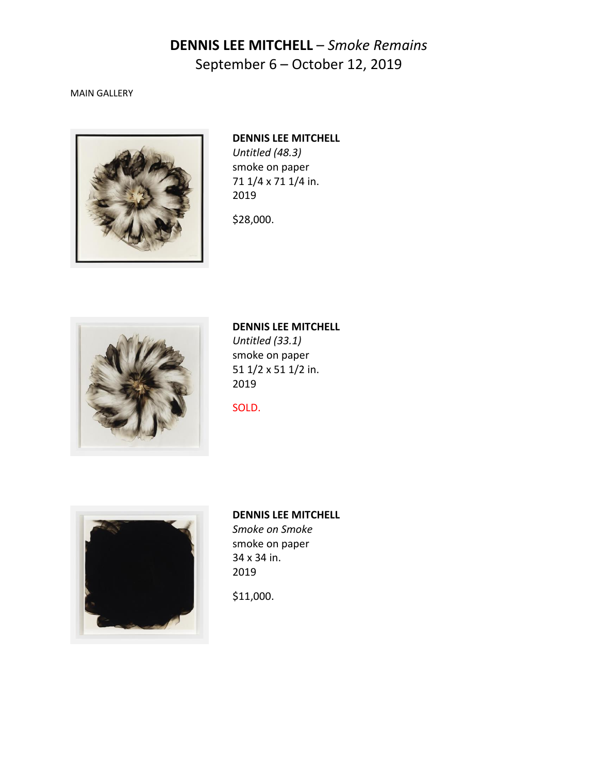### MAIN GALLERY



## **DENNIS LEE MITCHELL**

*Untitled (48.3)* smoke on paper 71 1/4 x 71 1/4 in. 2019

\$28,000.



## **DENNIS LEE MITCHELL**

*Untitled (33.1)* smoke on paper 51 1/2 x 51 1/2 in. 2019

SOLD.



### **DENNIS LEE MITCHELL**

*Smoke on Smoke* smoke on paper 34 x 34 in. 2019

\$11,000.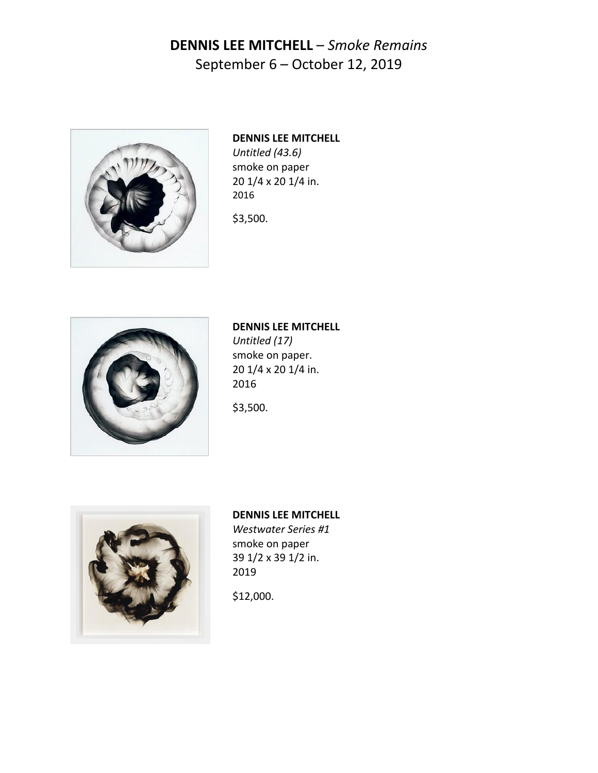

## **DENNIS LEE MITCHELL** *Untitled (43.6)* smoke on paper 20 1/4 x 20 1/4 in. 2016

\$3,500.



## **DENNIS LEE MITCHELL**

*Untitled (17)* smoke on paper. 20 1/4 x 20 1/4 in. 2016

\$3,500.



## **DENNIS LEE MITCHELL**

*Westwater Series #1* smoke on paper 39 1/2 x 39 1/2 in. 2019

\$12,000.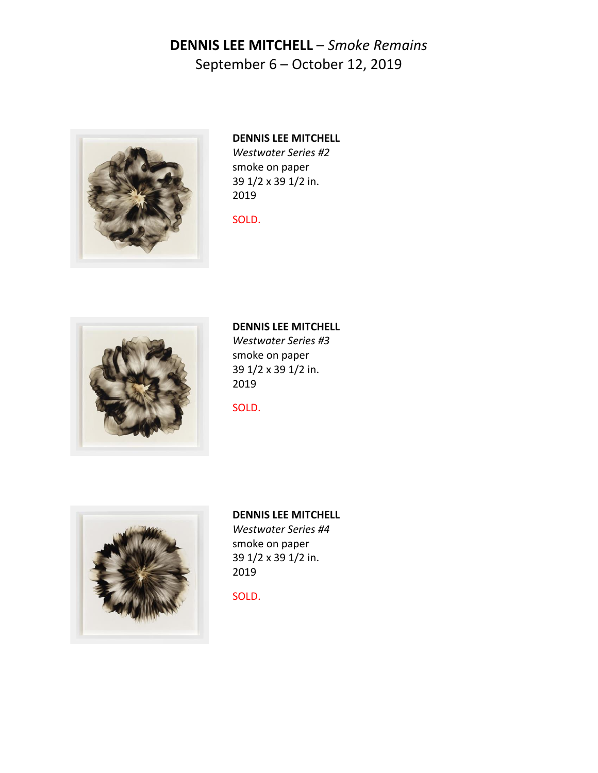

### **DENNIS LEE MITCHELL** *Westwater Series #2*

smoke on paper 39 1/2 x 39 1/2 in. 2019

### SOLD.



# **DENNIS LEE MITCHELL**

*Westwater Series #3* smoke on paper 39 1/2 x 39 1/2 in. 2019

SOLD.



### **DENNIS LEE MITCHELL**

*Westwater Series #4* smoke on paper 39 1/2 x 39 1/2 in. 2019

SOLD.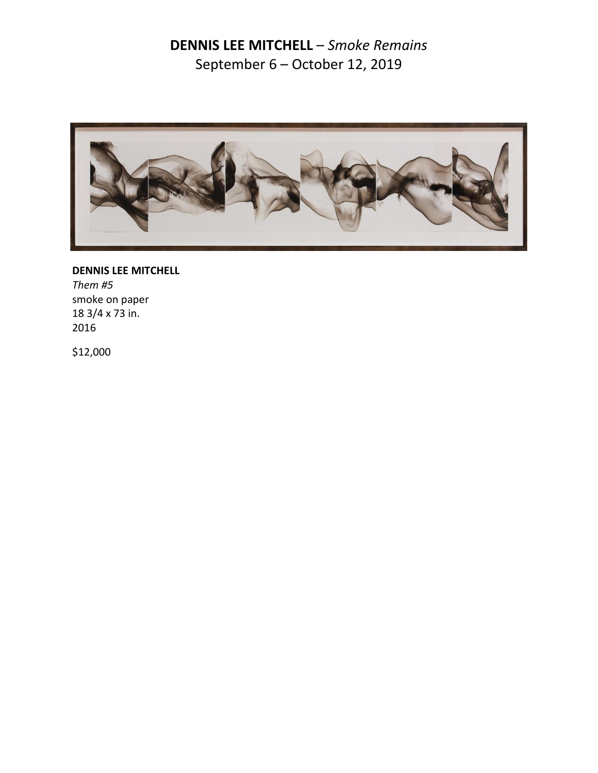

**DENNIS LEE MITCHELL** *Them #5* smoke on paper 18 3/4 x 73 in. 2016

\$12,000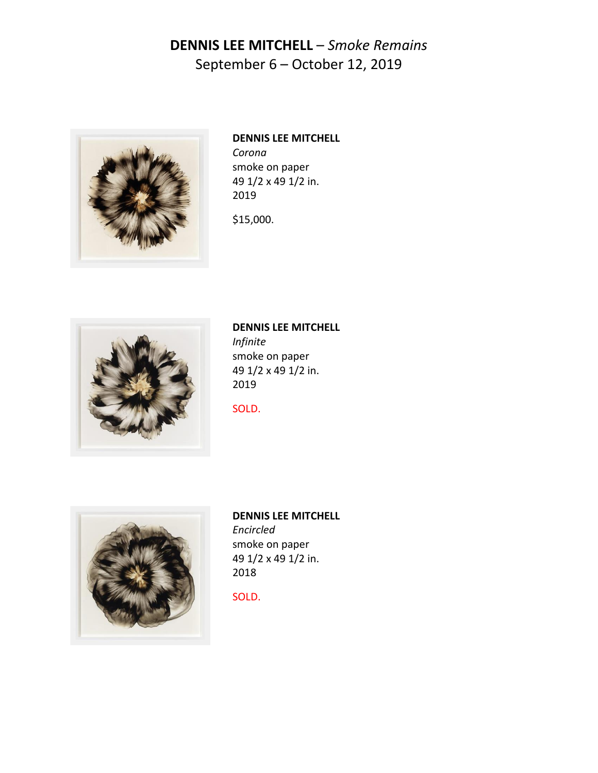

## **DENNIS LEE MITCHELL** *Corona* smoke on paper 49 1/2 x 49 1/2 in. 2019

\$15,000.



## **DENNIS LEE MITCHELL** *Infinite* smoke on paper

49 1/2 x 49 1/2 in. 2019

SOLD.



### **DENNIS LEE MITCHELL** *Encircled* smoke on paper 49 1/2 x 49 1/2 in. 2018

SOLD.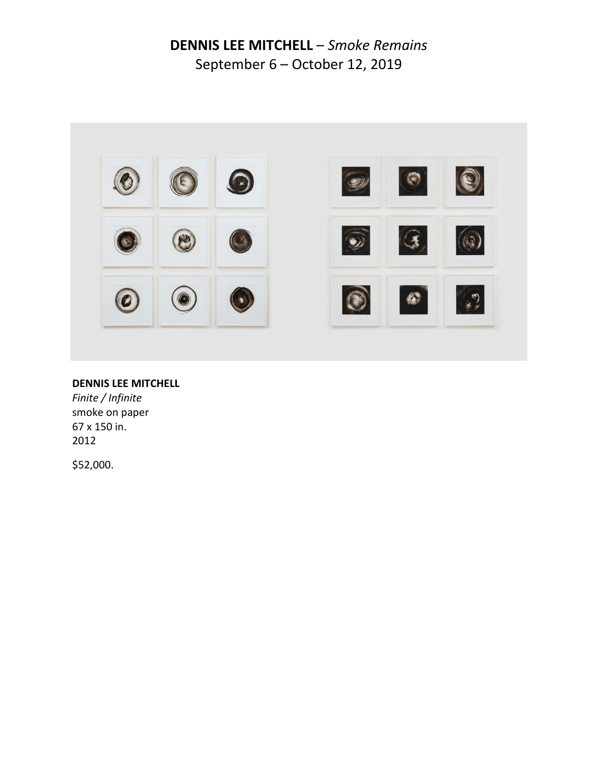

### **DENNIS LEE MITCHELL**

*Finite / Infinite* smoke on paper 67 x 150 in. 2012

\$52,000.